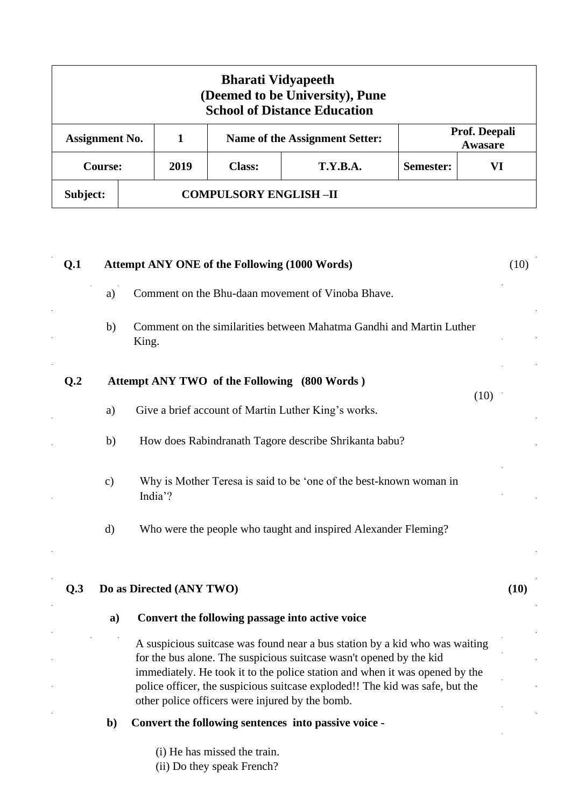| <b>Bharati Vidyapeeth</b><br>(Deemed to be University), Pune<br><b>School of Distance Education</b> |  |      |                              |                                |                          |  |  |  |  |
|-----------------------------------------------------------------------------------------------------|--|------|------------------------------|--------------------------------|--------------------------|--|--|--|--|
| <b>Assignment No.</b>                                                                               |  |      |                              | Name of the Assignment Setter: | Prof. Deepali<br>Awasare |  |  |  |  |
| <b>Course:</b>                                                                                      |  | 2019 | <b>Class:</b>                | <b>T.Y.B.A.</b>                | VI<br>Semester:          |  |  |  |  |
| Subject:                                                                                            |  |      | <b>COMPULSORY ENGLISH-II</b> |                                |                          |  |  |  |  |

| Q.1            |                                              | <b>Attempt ANY ONE of the Following (1000 Words)</b>                                                                                                                                                                                                                                                                                                                 |      |  |  |  |
|----------------|----------------------------------------------|----------------------------------------------------------------------------------------------------------------------------------------------------------------------------------------------------------------------------------------------------------------------------------------------------------------------------------------------------------------------|------|--|--|--|
|                | a)                                           | Comment on the Bhu-daan movement of Vinoba Bhave.                                                                                                                                                                                                                                                                                                                    |      |  |  |  |
|                | b)                                           | Comment on the similarities between Mahatma Gandhi and Martin Luther<br>King.                                                                                                                                                                                                                                                                                        |      |  |  |  |
| Q <sub>2</sub> | Attempt ANY TWO of the Following (800 Words) |                                                                                                                                                                                                                                                                                                                                                                      |      |  |  |  |
|                | a)                                           | (10)<br>Give a brief account of Martin Luther King's works.                                                                                                                                                                                                                                                                                                          |      |  |  |  |
|                | b)                                           | How does Rabindranath Tagore describe Shrikanta babu?                                                                                                                                                                                                                                                                                                                |      |  |  |  |
|                | $\mathbf{c})$                                | Why is Mother Teresa is said to be 'one of the best-known woman in<br>India'?                                                                                                                                                                                                                                                                                        |      |  |  |  |
|                | d)                                           | Who were the people who taught and inspired Alexander Fleming?                                                                                                                                                                                                                                                                                                       |      |  |  |  |
| Q.3            |                                              | Do as Directed (ANY TWO)                                                                                                                                                                                                                                                                                                                                             | (10) |  |  |  |
|                | a)                                           | Convert the following passage into active voice                                                                                                                                                                                                                                                                                                                      |      |  |  |  |
|                |                                              | A suspicious suitcase was found near a bus station by a kid who was waiting<br>for the bus alone. The suspicious suitcase wasn't opened by the kid<br>immediately. He took it to the police station and when it was opened by the<br>police officer, the suspicious suitcase exploded!! The kid was safe, but the<br>other police officers were injured by the bomb. |      |  |  |  |
|                | b)                                           | Convert the following sentences into passive voice -                                                                                                                                                                                                                                                                                                                 |      |  |  |  |
|                |                                              | (i) He has missed the train.<br>(ii) Do they speak French?                                                                                                                                                                                                                                                                                                           |      |  |  |  |